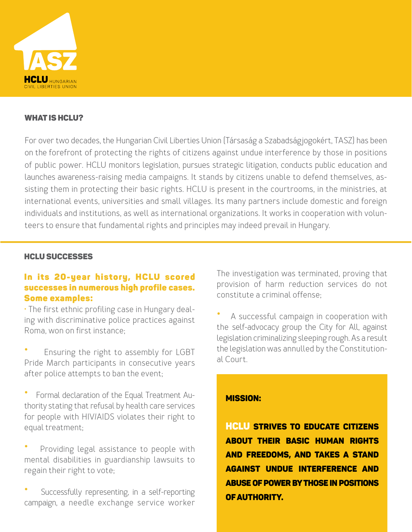

### WHAT IS HCLU?

For over two decades, the Hungarian Civil Liberties Union (Társaság a Szabadságjogokért, TASZ) has been on the forefront of protecting the rights of citizens against undue interference by those in positions of public power. HCLU monitors legislation, pursues strategic litigation, conducts public education and launches awareness-raising media campaigns. It stands by citizens unable to defend themselves, assisting them in protecting their basic rights. HCLU is present in the courtrooms, in the ministries, at international events, universities and small villages. Its many partners include domestic and foreign individuals and institutions, as well as international organizations. It works in cooperation with volunteers to ensure that fundamental rights and principles may indeed prevail in Hungary.

### HCLU SUCCESSES

## In its 20-year history, HCLU scored successes in numerous high profile cases. Some examples:

• The first ethnic profiling case in Hungary dealing with discriminative police practices against Roma, won on first instance;

• Ensuring the right to assembly for LGBT Pride March participants in consecutive years after police attempts to ban the event;

- Formal declaration of the Equal Treatment Authority stating that refusal by health care services for people with HIV/AIDS violates their right to equal treatment;
- Providing legal assistance to people with mental disabilities in guardianship lawsuits to regain their right to vote;
- Successfully representing, in a self-reporting campaign, a needle exchange service worker

The investigation was terminated, proving that provision of harm reduction services do not constitute a criminal offense;

• A successful campaign in cooperation with the self-advocacy group the City for All, against legislation criminalizing sleeping rough. As a result the legislation was annulled by the Constitutional Court.

### MISSION:

HCLU strives to educate citizens about their basic human rights and freedoms, and takes a stand against undue interference and abuse of power by those in positions of authority.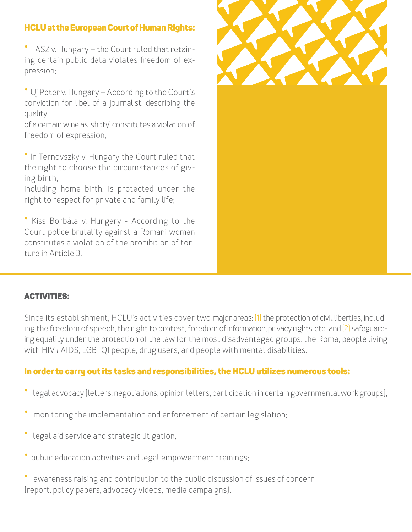# HCLU at the European Court of Human Rights:

• TASZ v. Hungary – the Court ruled that retaining certain public data violates freedom of expression;

• Uj Peter v. Hungary – According to the Court's conviction for libel of a journalist, describing the quality

of a certain wine as 'shitty' constitutes a violation of freedom of expression;

• In Ternovszky v. Hungary the Court ruled that the right to choose the circumstances of giving birth,

including home birth, is protected under the right to respect for private and family life;

• Kiss Borbála v. Hungary - According to the Court police brutality against a Romani woman constitutes a violation of the prohibition of torture in Article 3.



## ACTIVITIES:

Since its establishment, HCLU's activities cover two major areas: [1] the protection of civil liberties, including the freedom of speech, the right to protest, freedom of information, privacy rights, etc.; and [2] safeguarding equality under the protection of the law for the most disadvantaged groups: the Roma, people living with HIV / AIDS, LGBTQI people, drug users, and people with mental disabilities.

## In order to carry out its tasks and responsibilities, the HCLU utilizes numerous tools:

- legal advocacy (letters, negotiations, opinion letters, participation in certain governmental work groups);
- monitoring the implementation and enforcement of certain legislation;
- legal aid service and strategic litigation;
- public education activities and legal empowerment trainings;

awareness raising and contribution to the public discussion of issues of concern (report, policy papers, advocacy videos, media campaigns).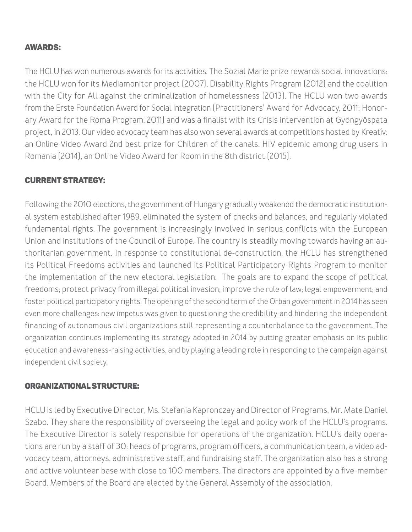## AWARDS:

The HCLU has won numerous awards for its activities. The Sozial Marie prize rewards social innovations: the HCLU won for its Mediamonitor project (2007), Disability Rights Program (2012) and the coalition with the City for All against the criminalization of homelessness (2013). The HCLU won two awards from the Erste Foundation Award for Social Integration (Practitioners' Award for Advocacy, 2011; Honorary Award for the Roma Program, 2011) and was a finalist with its Crisis intervention at Gyöngyöspata project, in 2013. Our video advocacy team has also won several awards at competitions hosted by Kreatív: an Online Video Award 2nd best prize for Children of the canals: HIV epidemic among drug users in Romania (2014), an Online Video Award for Room in the 8th district (2015).

## CURRENT STRATEGY:

Following the 2010 elections, the government of Hungary gradually weakened the democratic institutional system established after 1989, eliminated the system of checks and balances, and regularly violated fundamental rights. The government is increasingly involved in serious conflicts with the European Union and institutions of the Council of Europe. The country is steadily moving towards having an authoritarian government. In response to constitutional de-construction, the HCLU has strengthened its Political Freedoms activities and launched its Political Participatory Rights Program to monitor the implementation of the new electoral legislation. The goals are to expand the scope of political freedoms; protect privacy from illegal political invasion; improve the rule of law; legal empowerment; and foster political participatory rights. The opening of the second term of the Orban government in 2014 has seen even more challenges: new impetus was given to questioning the credibility and hindering the independent financing of autonomous civil organizations still representing a counterbalance to the government. The organization continues implementing its strategy adopted in 2014 by putting greater emphasis on its public education and awareness-raising activities, and by playing a leading role in responding to the campaign against independent civil society.

### ORGANIZATIONAL STRUCTURE:

HCLU is led by Executive Director, Ms. Stefania Kapronczay and Director of Programs, Mr. Mate Daniel Szabo. They share the responsibility of overseeing the legal and policy work of the HCLU's programs. The Executive Director is solely responsible for operations of the organization. HCLU's daily operations are run by a staff of 30: heads of programs, program officers, a communication team, a video advocacy team, attorneys, administrative staff, and fundraising staff. The organization also has a strong and active volunteer base with close to 100 members. The directors are appointed by a five-member Board. Members of the Board are elected by the General Assembly of the association.